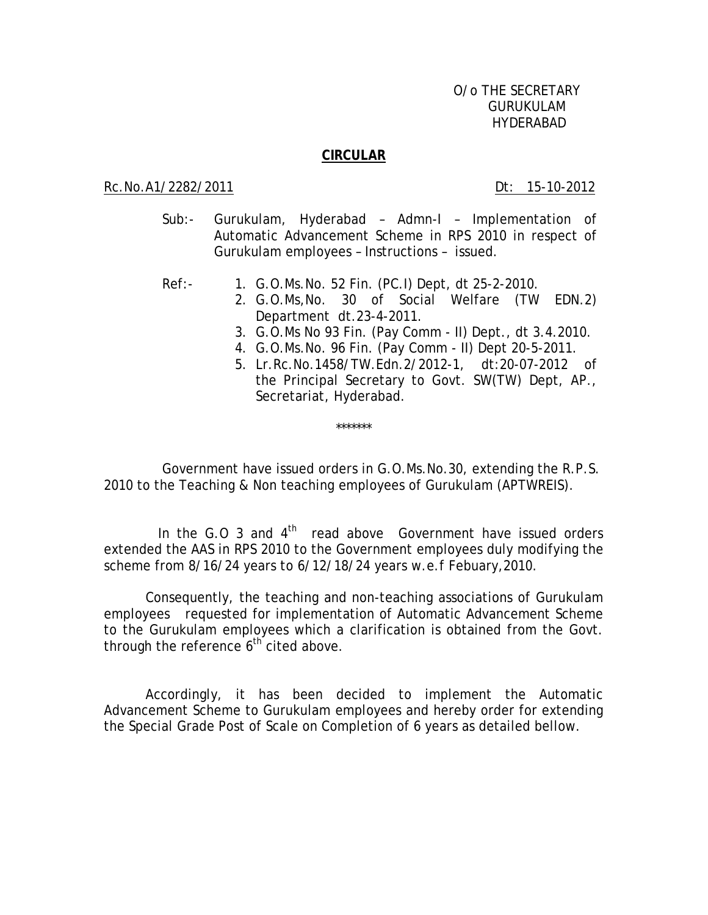## **CIRCULAR**

## Rc.No.A1/2282/2011 Dt: 15-10-2012

- Sub:- Gurukulam, Hyderabad Admn-I Implementation of Automatic Advancement Scheme in RPS 2010 in respect of Gurukulam employees – Instructions – issued.
- Ref:- 1. G.O.Ms.No. 52 Fin. (PC.I) Dept, dt 25-2-2010.
	- 2. G.O.Ms,No. 30 of Social Welfare (TW EDN.2) Department dt.23-4-2011.
	- 3. G.O.Ms No 93 Fin. (Pay Comm II) Dept., dt 3.4.2010.
	- 4. G.O.Ms.No. 96 Fin. (Pay Comm II) Dept 20-5-2011.
	- 5. Lr.Rc.No.1458/TW.Edn.2/2012-1, dt:20-07-2012 of the Principal Secretary to Govt. SW(TW) Dept, AP., Secretariat, Hyderabad.

 Government have issued orders in G.O.Ms.No.30, extending the R.P.S. 2010 to the Teaching & Non teaching employees of Gurukulam (APTWREIS).

\*\*\*\*\*\*\*

In the G.O 3 and  $4<sup>th</sup>$  read above Government have issued orders extended the AAS in RPS 2010 to the Government employees duly modifying the scheme from 8/16/24 years to 6/12/18/24 years w.e.f Febuary,2010.

 Consequently, the teaching and non-teaching associations of Gurukulam employees requested for implementation of Automatic Advancement Scheme to the Gurukulam employees which a clarification is obtained from the Govt. through the reference  $6<sup>th</sup>$  cited above.

Accordingly, it has been decided to implement the Automatic Advancement Scheme to Gurukulam employees and hereby order for extending the Special Grade Post of Scale on Completion of 6 years as detailed bellow.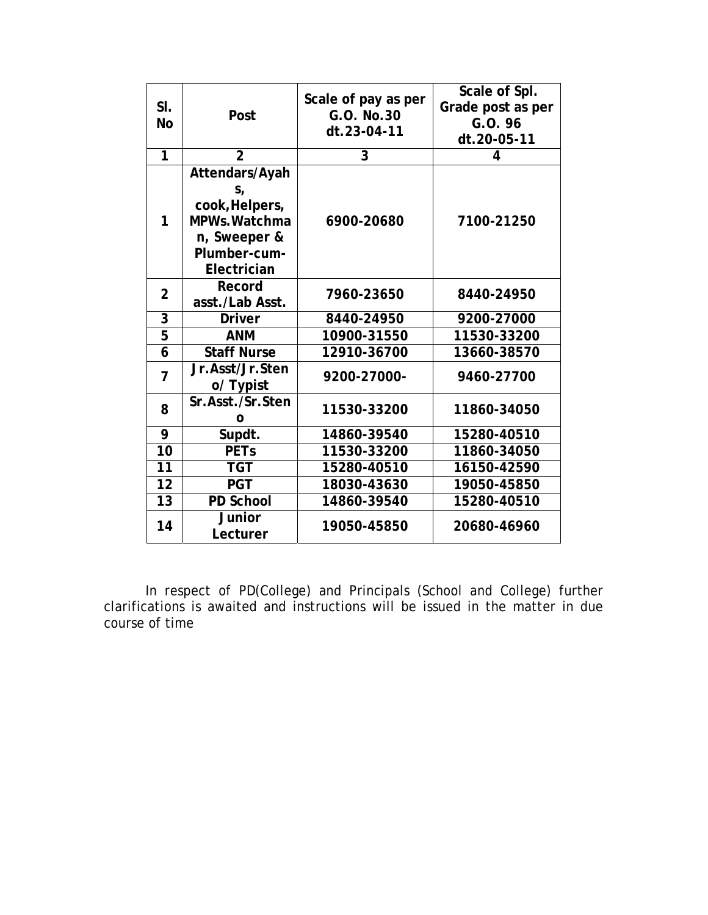| SI.<br><b>No</b> | Post                                                                                                        | Scale of pay as per<br>G.O. No.30<br>dt.23-04-11 | Scale of Spl.<br>Grade post as per<br>G.O. 96<br>dt.20-05-11 |
|------------------|-------------------------------------------------------------------------------------------------------------|--------------------------------------------------|--------------------------------------------------------------|
| 1                | $\overline{2}$                                                                                              | 3                                                | 4                                                            |
| 1                | Attendars/Ayah<br>$S_{I}$<br>cook, Helpers,<br>MPWs. Watchma<br>n, Sweeper &<br>Plumber-cum-<br>Electrician | 6900-20680                                       | 7100-21250                                                   |
| $\overline{2}$   | Record<br>asst./Lab Asst.                                                                                   | 7960-23650                                       | 8440-24950                                                   |
| 3                | <b>Driver</b>                                                                                               | 8440-24950                                       | 9200-27000                                                   |
| $\overline{5}$   | <b>ANM</b>                                                                                                  | 10900-31550                                      | 11530-33200                                                  |
| 6                | <b>Staff Nurse</b>                                                                                          | 12910-36700                                      | 13660-38570                                                  |
| $\overline{7}$   | Jr.Asst/Jr.Sten<br>o/ Typist                                                                                | 9200-27000-                                      | 9460-27700                                                   |
| 8                | Sr.Asst./Sr.Sten<br>О                                                                                       | 11530-33200                                      | 11860-34050                                                  |
| 9                | Supdt.                                                                                                      | 14860-39540                                      | 15280-40510                                                  |
| 10               | <b>PETs</b>                                                                                                 | 11530-33200                                      | 11860-34050                                                  |
| 11               | <b>TGT</b>                                                                                                  | 15280-40510                                      | 16150-42590                                                  |
| 12               | <b>PGT</b>                                                                                                  | 18030-43630                                      | 19050-45850                                                  |
| 13               | PD School                                                                                                   | 14860-39540                                      | 15280-40510                                                  |
| 14               | Junior<br>Lecturer                                                                                          | 19050-45850                                      | 20680-46960                                                  |

In respect of PD(College) and Principals (School and College) further clarifications is awaited and instructions will be issued in the matter in due course of time